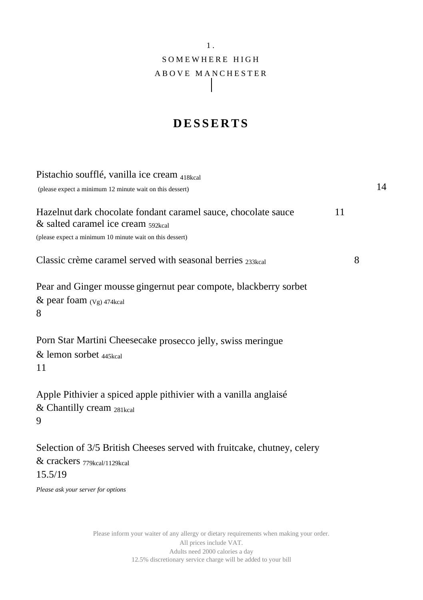# 1 . SOMEWHERE HIGH A B O V E M A N C H E S T E R

### **D E S S E R T S**

| Pistachio soufflé, vanilla ice cream 418kcal                                                                                                                      |    |    |
|-------------------------------------------------------------------------------------------------------------------------------------------------------------------|----|----|
| (please expect a minimum 12 minute wait on this dessert)                                                                                                          |    | 14 |
| Hazelnut dark chocolate fondant caramel sauce, chocolate sauce<br>$\&$ salted caramel ice cream $592$<br>(please expect a minimum 10 minute wait on this dessert) | 11 |    |
| Classic crème caramel served with seasonal berries 233kcal                                                                                                        | 8  |    |
| Pear and Ginger mousse gingernut pear compote, blackberry sorbet<br>& pear foam $(Vg)$ 474kcal<br>8                                                               |    |    |
| Porn Star Martini Cheesecake prosecco jelly, swiss meringue<br>& lemon sorbet 445kcal<br>11                                                                       |    |    |
| Apple Pithivier a spiced apple pithivier with a vanilla anglaisé<br>& Chantilly cream 281kcal<br>9                                                                |    |    |
| Selection of 3/5 British Cheeses served with fruitcake, chutney, celery<br>& crackers 779kcal/1129kcal<br>15.5/19                                                 |    |    |
| Please ask your server for options                                                                                                                                |    |    |

Please inform your waiter of any allergy or dietary requirements when making your order. All prices include VAT. Adults need 2000 calories a day 12.5% discretionary service charge will be added to your bill